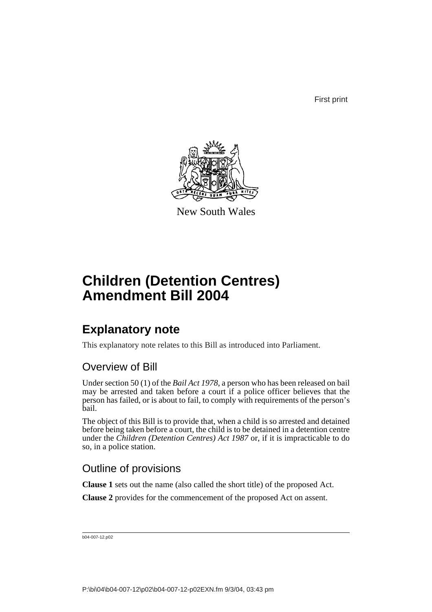First print



New South Wales

# **Children (Detention Centres) Amendment Bill 2004**

## **Explanatory note**

This explanatory note relates to this Bill as introduced into Parliament.

### Overview of Bill

Under section 50 (1) of the *Bail Act 1978*, a person who has been released on bail may be arrested and taken before a court if a police officer believes that the person has failed, or is about to fail, to comply with requirements of the person's bail.

The object of this Bill is to provide that, when a child is so arrested and detained before being taken before a court, the child is to be detained in a detention centre under the *Children (Detention Centres) Act 1987* or, if it is impracticable to do so, in a police station.

### Outline of provisions

**Clause 1** sets out the name (also called the short title) of the proposed Act.

**Clause 2** provides for the commencement of the proposed Act on assent.

b04-007-12.p02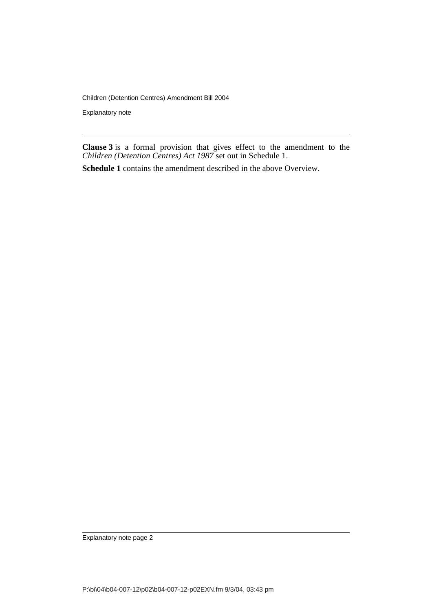Children (Detention Centres) Amendment Bill 2004

Explanatory note

**Clause 3** is a formal provision that gives effect to the amendment to the *Children (Detention Centres) Act 1987* set out in Schedule 1.

**Schedule 1** contains the amendment described in the above Overview.

Explanatory note page 2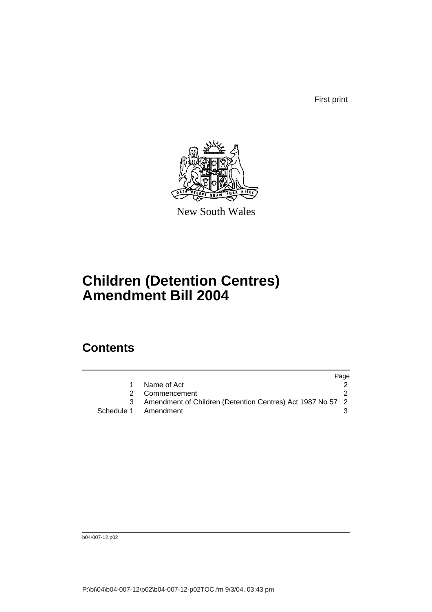First print



New South Wales

## **Children (Detention Centres) Amendment Bill 2004**

### **Contents**

|                                                            | Page |
|------------------------------------------------------------|------|
| Name of Act                                                |      |
| 2 Commencement                                             |      |
| Amendment of Children (Detention Centres) Act 1987 No 57 2 |      |
| Schedule 1 Amendment                                       |      |

b04-007-12.p02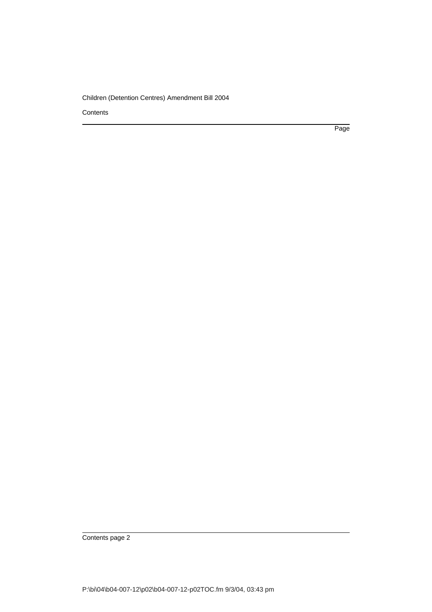### Children (Detention Centres) Amendment Bill 2004

**Contents** 

Page

Contents page 2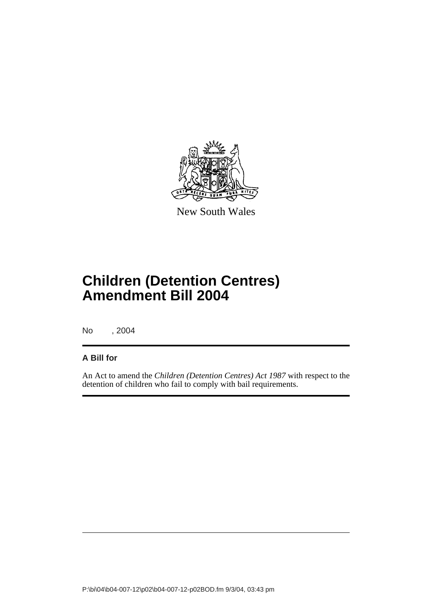

New South Wales

# **Children (Detention Centres) Amendment Bill 2004**

No , 2004

### **A Bill for**

An Act to amend the *Children (Detention Centres) Act 1987* with respect to the detention of children who fail to comply with bail requirements.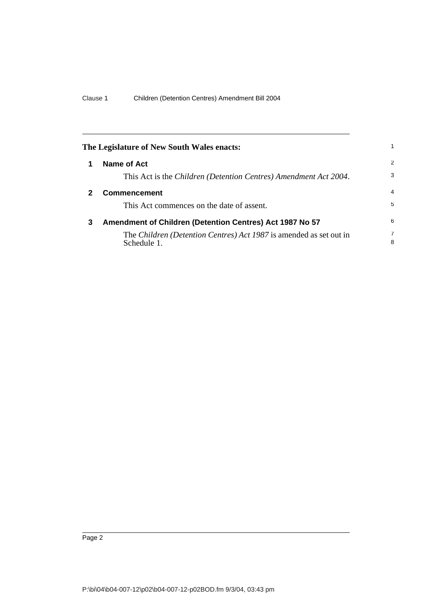| The Legislature of New South Wales enacts: |                                                                                                          | 1                   |
|--------------------------------------------|----------------------------------------------------------------------------------------------------------|---------------------|
|                                            | Name of Act                                                                                              | 2                   |
|                                            | This Act is the <i>Children</i> ( <i>Detention Centres</i> ) Amendment Act 2004.                         | 3                   |
|                                            | <b>Commencement</b>                                                                                      | $\overline{4}$      |
|                                            | This Act commences on the date of assent.                                                                | 5                   |
| 3                                          | Amendment of Children (Detention Centres) Act 1987 No 57                                                 | 6                   |
|                                            | The <i>Children</i> ( <i>Detention Centres</i> ) <i>Act 1987</i> is amended as set out in<br>Schedule 1. | $\overline{7}$<br>8 |